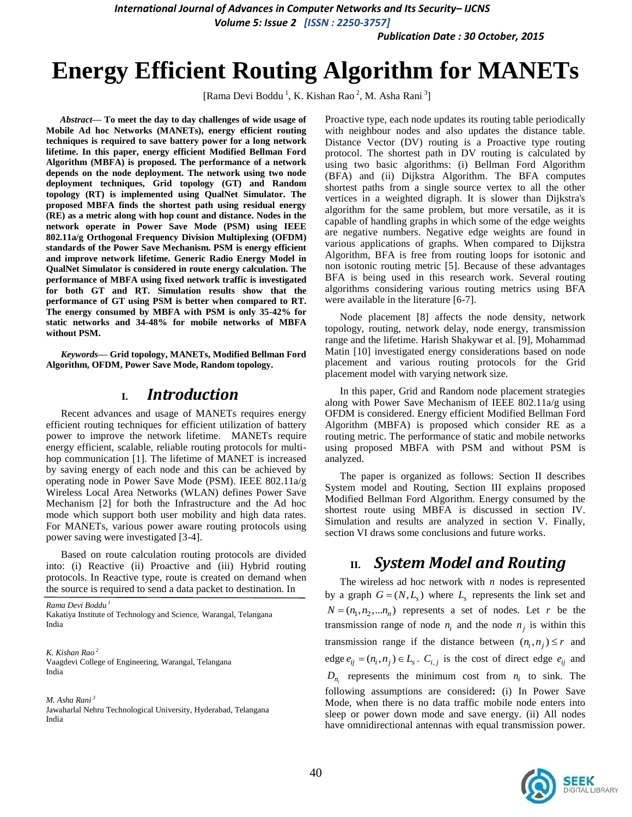*International Journal of Advances in Computer Networks and Its Security– IJCNS*

*Volume 5: Issue 2 [ISSN : 2250-3757]* 

*Publication Date : 30 October, 2015*

# **Energy Efficient Routing Algorithm for MANETs**

[Rama Devi Boddu<sup>1</sup>, K. Kishan Rao<sup>2</sup>, M. Asha Rani<sup>3</sup>]

*Abstract***— To meet the day to day challenges of wide usage of Mobile Ad hoc Networks (MANETs), energy efficient routing techniques is required to save battery power for a long network lifetime. In this paper, energy efficient Modified Bellman Ford Algorithm (MBFA) is proposed. The performance of a network depends on the node deployment. The network using two node deployment techniques, Grid topology (GT) and Random topology (RT) is implemented using QualNet Simulator. The proposed MBFA finds the shortest path using residual energy (RE) as a metric along with hop count and distance. Nodes in the network operate in Power Save Mode (PSM) using IEEE 802.11a/g Orthogonal Frequency Division Multiplexing (OFDM) standards of the Power Save Mechanism. PSM is energy efficient and improve network lifetime. Generic Radio Energy Model in QualNet Simulator is considered in route energy calculation. The performance of MBFA using fixed network traffic is investigated for both GT and RT. Simulation results show that the performance of GT using PSM is better when compared to RT. The energy consumed by MBFA with PSM is only 35-42% for static networks and 34-48% for mobile networks of MBFA without PSM.**

*Keywords—* **Grid topology, MANETs, Modified Bellman Ford Algorithm, OFDM, Power Save Mode, Random topology***.*

## **I.** *Introduction*

Recent advances and usage of MANETs requires energy efficient routing techniques for efficient utilization of battery power to improve the network lifetime. MANETs require energy efficient, scalable, reliable routing protocols for multihop communication [1]. The lifetime of MANET is increased by saving energy of each node and this can be achieved by operating node in Power Save Mode (PSM). IEEE 802.11a/g Wireless Local Area Networks (WLAN) defines Power Save Mechanism [2] for both the Infrastructure and the Ad hoc mode which support both user mobility and high data rates. For MANETs, various power aware routing protocols using power saving were investigated [3-4].

Based on route calculation routing protocols are divided into: (i) Reactive (ii) Proactive and (iii) Hybrid routing protocols. In Reactive type, route is created on demand when the source is required to send a data packet to destination. In

*Rama Devi Boddu <sup>1</sup>* Kakatiya Institute of Technology and Science, Warangal, Telangana India

*K. Kishan Rao <sup>2</sup>* Vaagdevi College of Engineering, Warangal, Telangana India

*M. Asha Rani <sup>3</sup>*

Jawaharlal Nehru Technological University, Hyderabad, Telangana India

Proactive type, each node updates its routing table periodically with neighbour nodes and also updates the distance table. Distance Vector (DV) routing is a Proactive type routing protocol. The shortest path in DV routing is calculated by using two basic algorithms: (i) Bellman Ford Algorithm (BFA) and (ii) Dijkstra Algorithm. The BFA computes shortest paths from a single source vertex to all the other vertices in a weighted digraph. It is slower than Dijkstra's algorithm for the same problem, but more versatile, as it is capable of handling graphs in which some of the edge weights are negative numbers. Negative edge weights are found in various applications of graphs. When compared to Dijkstra Algorithm, BFA is free from routing loops for isotonic and non isotonic routing metric [5]. Because of these advantages BFA is being used in this research work. Several routing algorithms considering various routing metrics using BFA were available in the literature [6-7].

Node placement [8] affects the node density, network topology, routing, network delay, node energy, transmission range and the lifetime. Harish Shakywar et al. [9], Mohammad Matin [10] investigated energy considerations based on node placement and various routing protocols for the Grid placement model with varying network size.

In this paper, Grid and Random node placement strategies along with Power Save Mechanism of IEEE 802.11a/g using OFDM is considered. Energy efficient Modified Bellman Ford Algorithm (MBFA) is proposed which consider RE as a routing metric. The performance of static and mobile networks using proposed MBFA with PSM and without PSM is analyzed.

The paper is organized as follows: Section II describes System model and Routing, Section III explains proposed Modified Bellman Ford Algorithm. Energy consumed by the shortest route using MBFA is discussed in section IV. Simulation and results are analyzed in section V. Finally, section VI draws some conclusions and future works.

# **II.** *System Model and Routing*

The wireless ad hoc network with *n* nodes is represented by a graph  $G = (N, L<sub>s</sub>)$  where  $L<sub>s</sub>$  represents the link set and  $N = (n_1, n_2, \dots, n_n)$  represents a set of nodes. Let r be the transmission range of node  $n_i$  and the node  $n_j$  is within this transmission range if the distance between  $(n_i, n_j) \le r$  and edge  $e_{ij} = (n_i, n_j) \in L_s$ .  $C_{i,j}$  is the cost of direct edge  $e_{ij}$  and  $D_{n_i}$  represents the minimum cost from  $n_i$  to sink. The following assumptions are considered**:** (i) In Power Save Mode, when there is no data traffic mobile node enters into sleep or power down mode and save energy. (ii) All nodes have omnidirectional antennas with equal transmission power.

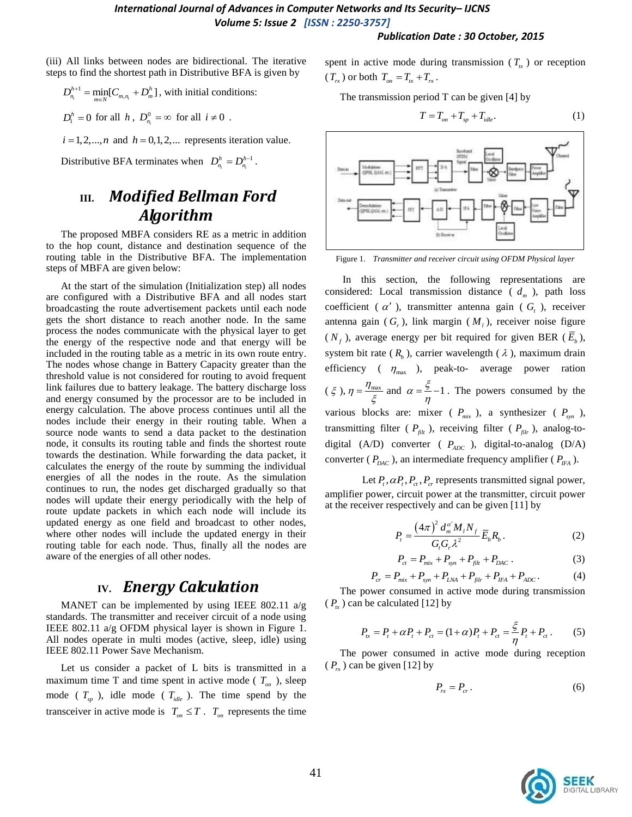#### *Publication Date : 30 October, 2015*

(iii) All links between nodes are bidirectional. The iterative steps to find the shortest path in Distributive BFA is given by

$$
D_{n_i}^{h+1} = \min_{m \in \mathbb{N}} [C_{m,n_i} + D_m^h],
$$
 with initial conditions:

$$
D_1^h = 0 \text{ for all } h \text{ , } D_{n_i}^0 = \infty \text{ for all } i \neq 0 .
$$

 $i = 1, 2, \dots, n$  and  $h = 0, 1, 2, \dots$  represents iteration value.

Distributive BFA terminates when  $D_n^h = D_n^{h-1}$  $D_{n_{i}}^{h} = D_{n_{i}}^{h-1}$  .

# **III.** *Modified Bellman Ford Algorithm*

The proposed MBFA considers RE as a metric in addition to the hop count, distance and destination sequence of the routing table in the Distributive BFA. The implementation steps of MBFA are given below:

At the start of the simulation (Initialization step) all nodes are configured with a Distributive BFA and all nodes start broadcasting the route advertisement packets until each node gets the short distance to reach another node. In the same process the nodes communicate with the physical layer to get the energy of the respective node and that energy will be included in the routing table as a metric in its own route entry. The nodes whose change in Battery Capacity greater than the threshold value is not considered for routing to avoid frequent link failures due to battery leakage. The battery discharge loss and energy consumed by the processor are to be included in energy calculation. The above process continues until all the nodes include their energy in their routing table. When a source node wants to send a data packet to the destination node, it consults its routing table and finds the shortest route towards the destination. While forwarding the data packet, it calculates the energy of the route by summing the individual energies of all the nodes in the route. As the simulation continues to run, the nodes get discharged gradually so that nodes will update their energy periodically with the help of route update packets in which each node will include its updated energy as one field and broadcast to other nodes, where other nodes will include the updated energy in their routing table for each node. Thus, finally all the nodes are aware of the energies of all other nodes.

# **IV.** *Energy Calculation*

MANET can be implemented by using IEEE 802.11 a/g standards. The transmitter and receiver circuit of a node using IEEE 802.11 a/g OFDM physical layer is shown in Figure 1. All nodes operate in multi modes (active, sleep, idle) using IEEE 802.11 Power Save Mechanism.

Let us consider a packet of L bits is transmitted in a maximum time T and time spent in active mode ( $T_{on}$ ), sleep mode ( $T_{sp}$ ), idle mode ( $T_{idle}$ ). The time spend by the transceiver in active mode is  $T_{on} \leq T$ .  $T_{on}$  represents the time spent in active mode during transmission ( $T_{tx}$ ) or reception  $(T_{rx})$  or both  $T_{on} = T_{tx} + T_{rx}$ .

The transmission period T can be given [4] by

$$
T = T_{on} + T_{sp} + T_{idle}. \tag{1}
$$



Figure 1. *Transmitter and receiver circuit using OFDM Physical layer*

In this section, the following representations are considered: Local transmission distance  $(d_m)$ , path loss coefficient ( $\alpha'$ ), transmitter antenna gain ( $G<sub>t</sub>$ ), receiver antenna gain  $(G_r)$ , link margin  $(M_l)$ , receiver noise figure  $(N_f)$ , average energy per bit required for given BER  $(E_b)$ , system bit rate  $(R_b)$ , carrier wavelength  $(\lambda)$ , maximum drain efficiency ( $\eta_{\text{max}}$ ), peak-to- average power ration  $(\xi), \eta = \frac{\eta_{\text{max}}}{\xi}$  $=\frac{\eta_{\text{max}}}{\xi}$  and  $\alpha = \frac{\xi}{\eta} - 1$  $=$   $\frac{5}{2}$  – 1. The powers consumed by the various blocks are: mixer ( $P_{mix}$ ), a synthesizer ( $P_{syn}$ ), transmitting filter ( $P_{\text{fit}}$ ), receiving filter ( $P_{\text{fit}}$ ), analog-todigital (A/D) converter (  $P_{ADC}$  ), digital-to-analog (D/A) converter ( $P_{DAC}$ ), an intermediate frequency amplifier ( $P_{IFA}$ ).

Let  $P_t$ ,  $\alpha P_t$ ,  $P_{ct}$ ,  $P_{cr}$  represents transmitted signal power, amplifier power, circuit power at the transmitter, circuit power at the receiver respectively and can be given [11] by

$$
P_{t} = \frac{(4\pi)^{2} d_{m}^{\alpha'} M_{t} N_{f}}{G_{t} G_{r} \lambda^{2}} \overline{E}_{b} R_{b} .
$$
 (2)

$$
P_{ct} = P_{mix} + P_{syn} + P_{filt} + P_{DAC} \,.
$$
 (3)

$$
P_{ct} = P_{mix} + P_{syn} + P_{filt} + P_{DAC}
$$
\n
$$
P_{cr} = P_{mix} + P_{syn} + P_{LNA} + P_{filt} + P_{IFA} + P_{ADC}
$$
\n(4)

The power consumed in active mode during transmission  $(P_{tx})$  can be calculated [12] by

$$
P_{tx} = P_t + \alpha P_t + P_{ct} = (1 + \alpha)P_t + P_{ct} = \frac{\xi}{\eta} P_t + P_{ct}.
$$
 (5)

The power consumed in active mode during reception  $(P_{rx})$  can be given [12] by

$$
P_{rx} = P_{cr} \,. \tag{6}
$$

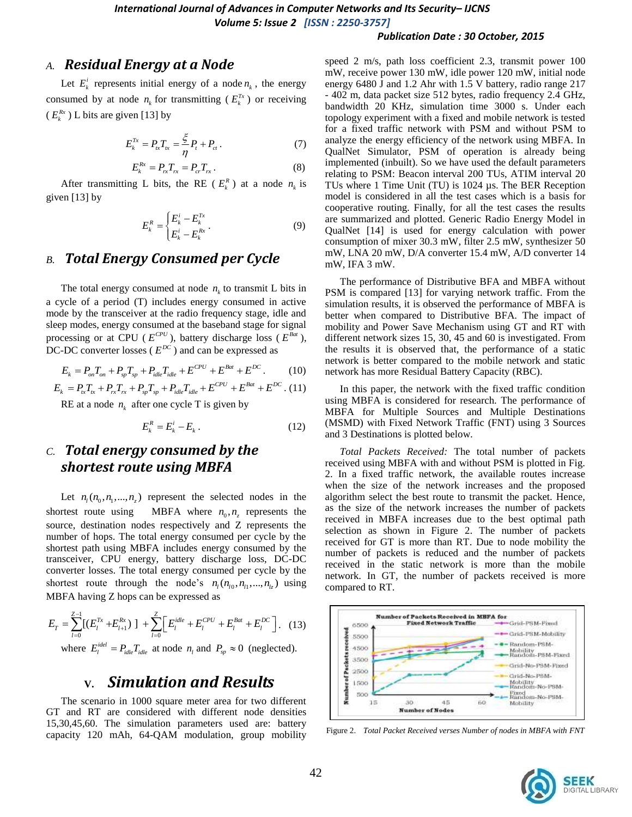#### *Publication Date : 30 October, 2015*

### *A. Residual Energy at a Node*

Let  $E_k^i$  represents initial energy of a node  $n_k$ , the energy consumed by at node  $n_k$  for transmitting ( $E_k^{Tx}$ ) or receiving  $(E_k^{Rx})$  L bits are given [13] by

$$
E_k^{Tx} = P_{ix}T_{ix} = \frac{\xi}{\eta}P_t + P_{ci}.
$$
 (7)

$$
E_k^{Rx} = P_{rx} T_{rx} = P_{cr} T_{rx} . \t\t(8)
$$

After transmitting L bits, the RE ( $E_k^R$ ) at a node  $n_k$  is given [13] by

$$
E_k^R = \begin{cases} E_k^i - E_k^{Tx} \\ E_k^i - E_k^{Rx} \end{cases} \tag{9}
$$

### *B. Total Energy Consumed per Cycle*

The total energy consumed at node  $n_k$  to transmit L bits in a cycle of a period (T) includes energy consumed in active mode by the transceiver at the radio frequency stage, idle and sleep modes, energy consumed at the baseband stage for signal processing or at CPU ( $E^{CPU}$ ), battery discharge loss ( $E^{Bat}$ ), DC-DC converter losses ( $E^{DC}$ ) and can be expressed as<br>  $E_k = P_{on} T_{on} + P_{sp} T_{sp} + P_{idle} T_{idle} + E^{CPU} + E^{Bat} + E^{DC}$ .

$$
E_k = P_{on} T_{on} + P_{sp} T_{sp} + P_{idle} T_{idle} + E^{CPU} + E^{Bat} + E^{DC}. \tag{10}
$$

$$
E_k = P_{on} T_{on} + P_{sp} T_{sp} + P_{idle} T_{idle} + E^{CPU} + E^{Bat} + E^{DC}.
$$
 (10)  

$$
E_k = P_{tx} T_{tx} + P_{rx} T_{rx} + P_{sp} T_{sp} + P_{idle} T_{idle} + E^{CPU} + E^{Bat} + E^{DC}.
$$
 (11)

RE at a node  $n_k$  after one cycle T is given by

$$
E_k^R = E_k^i - E_k \,. \tag{12}
$$

## *C. Total energy consumed by the shortest route using MBFA*

Let  $n_1(n_0, n_1, \ldots, n_z)$  represent the selected nodes in the shortest route using  $n_0, n_z$  represents the source, destination nodes respectively and Z represents the number of hops. The total energy consumed per cycle by the shortest path using MBFA includes energy consumed by the transceiver, CPU energy, battery discharge loss, DC-DC converter losses. The total energy consumed per cycle by the shortest route through the node's  $n_l$  ( $n_{l_0}, n_{l_1}, ..., n_{l_z}$ ) using

MBFA having Z hops can be expressed as  
\n
$$
E_T = \sum_{l=0}^{Z-1} [(E_l^{Tx} + E_{l+1}^{Rx})] + \sum_{l=0}^{Z} \left[E_l^{idle} + E_l^{CPU} + E_l^{Bat} + E_l^{DC}\right].
$$
\n(13)  
\nwhere  $E_l^{idle} = P_{idle} T_{idle}$  at node  $n_l$  and  $P_{sp} \approx 0$  (neglected).

# **V.** *Simulation and Results*

The scenario in 1000 square meter area for two different GT and RT are considered with different node densities 15,30,45,60. The simulation parameters used are: battery capacity 120 mAh, 64-QAM modulation, group mobility speed 2 m/s, path loss coefficient 2.3, transmit power 100 mW, receive power 130 mW, idle power 120 mW, initial node energy 6480 J and 1.2 Ahr with 1.5 V battery, radio range 217 - 402 m, data packet size 512 bytes, radio frequency 2.4 GHz, bandwidth 20 KHz, simulation time 3000 s. Under each topology experiment with a fixed and mobile network is tested for a fixed traffic network with PSM and without PSM to analyze the energy efficiency of the network using MBFA. In QualNet Simulator, PSM of operation is already being implemented (inbuilt). So we have used the default parameters relating to PSM: Beacon interval 200 TUs, ATIM interval 20 TUs where 1 Time Unit (TU) is 1024 µs. The BER Reception model is considered in all the test cases which is a basis for cooperative routing. Finally, for all the test cases the results are summarized and plotted. Generic Radio Energy Model in QualNet [14] is used for energy calculation with power consumption of mixer 30.3 mW, filter 2.5 mW, synthesizer 50 mW, LNA 20 mW, D/A converter 15.4 mW, A/D converter 14 mW, IFA 3 mW.

The performance of Distributive BFA and MBFA without PSM is compared [13] for varying network traffic. From the simulation results, it is observed the performance of MBFA is better when compared to Distributive BFA. The impact of mobility and Power Save Mechanism using GT and RT with different network sizes 15, 30, 45 and 60 is investigated. From the results it is observed that, the performance of a static network is better compared to the mobile network and static network has more Residual Battery Capacity (RBC).

In this paper, the network with the fixed traffic condition using MBFA is considered for research. The performance of MBFA for Multiple Sources and Multiple Destinations (MSMD) with Fixed Network Traffic (FNT) using 3 Sources and 3 Destinations is plotted below.

*Total Packets Received:* The total number of packets received using MBFA with and without PSM is plotted in Fig. 2. In a fixed traffic network, the available routes increase when the size of the network increases and the proposed algorithm select the best route to transmit the packet. Hence, as the size of the network increases the number of packets received in MBFA increases due to the best optimal path selection as shown in Figure 2. The number of packets received for GT is more than RT. Due to node mobility the number of packets is reduced and the number of packets received in the static network is more than the mobile network. In GT, the number of packets received is more compared to RT.



Figure 2. *Total Packet Received verses Number of nodes in MBFA with FNT*

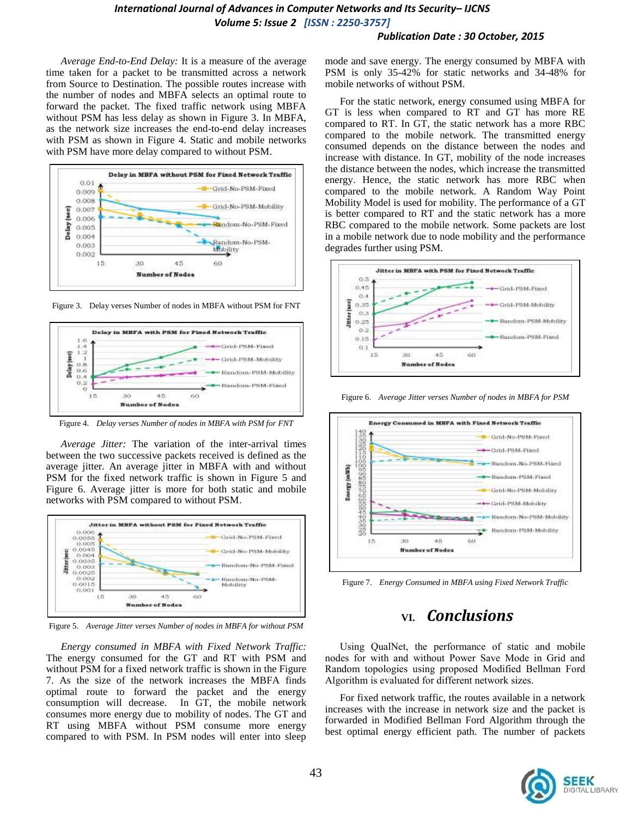### *International Journal of Advances in Computer Networks and Its Security– IJCNS Volume 5: Issue 2 [ISSN : 2250-3757]*

#### *Publication Date : 30 October, 2015*

*Average End-to-End Delay:* It is a measure of the average time taken for a packet to be transmitted across a network from Source to Destination. The possible routes increase with the number of nodes and MBFA selects an optimal route to forward the packet. The fixed traffic network using MBFA without PSM has less delay as shown in Figure 3. In MBFA, as the network size increases the end-to-end delay increases with PSM as shown in Figure 4. Static and mobile networks with PSM have more delay compared to without PSM.



Figure 3. Delay verses Number of nodes in MBFA without PSM for FNT



Figure 4. *Delay verses Number of nodes in MBFA with PSM for FNT*

*Average Jitter:* The variation of the inter-arrival times between the two successive packets received is defined as the average jitter. An average jitter in MBFA with and without PSM for the fixed network traffic is shown in Figure 5 and Figure 6. Average jitter is more for both static and mobile networks with PSM compared to without PSM.



Figure 5. *Average Jitter verses Number of nodes in MBFA for without PSM* 

*Energy consumed in MBFA with Fixed Network Traffic:* The energy consumed for the GT and RT with PSM and without PSM for a fixed network traffic is shown in the Figure 7. As the size of the network increases the MBFA finds optimal route to forward the packet and the energy consumption will decrease. In GT, the mobile network consumes more energy due to mobility of nodes. The GT and RT using MBFA without PSM consume more energy compared to with PSM. In PSM nodes will enter into sleep mode and save energy. The energy consumed by MBFA with PSM is only 35-42% for static networks and 34-48% for mobile networks of without PSM.

For the static network, energy consumed using MBFA for GT is less when compared to RT and GT has more RE compared to RT. In GT, the static network has a more RBC compared to the mobile network. The transmitted energy consumed depends on the distance between the nodes and increase with distance. In GT, mobility of the node increases the distance between the nodes, which increase the transmitted energy. Hence, the static network has more RBC when compared to the mobile network. A Random Way Point Mobility Model is used for mobility. The performance of a GT is better compared to RT and the static network has a more RBC compared to the mobile network. Some packets are lost in a mobile network due to node mobility and the performance degrades further using PSM.



Figure 6. *Average Jitter verses Number of nodes in MBFA for PSM*



Figure 7. *Energy Consumed in MBFA using Fixed Network Traffic*

# **VI.** *Conclusions*

Using QualNet, the performance of static and mobile nodes for with and without Power Save Mode in Grid and Random topologies using proposed Modified Bellman Ford Algorithm is evaluated for different network sizes.

For fixed network traffic, the routes available in a network increases with the increase in network size and the packet is forwarded in Modified Bellman Ford Algorithm through the best optimal energy efficient path. The number of packets